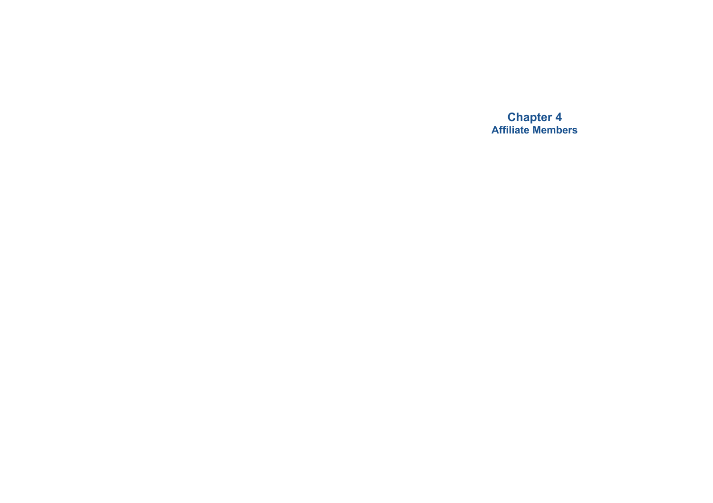**Chapter 4 Affiliate Members**